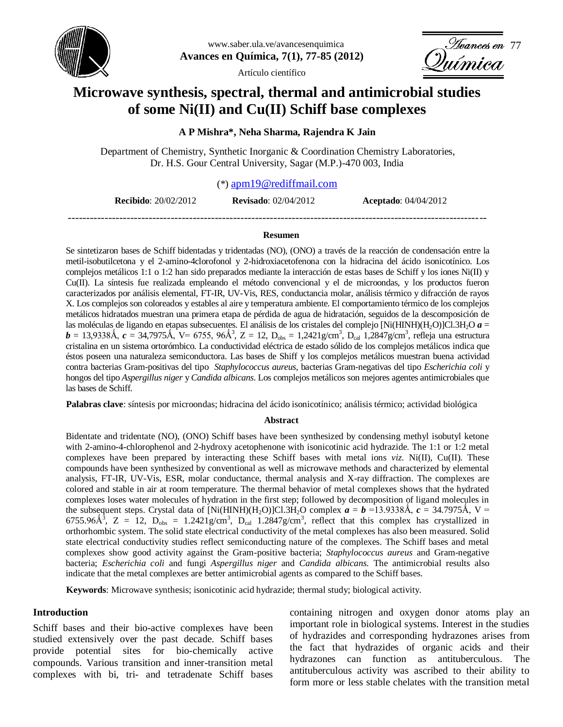

www.saber.ula.ve/avancesenquimica **Avances en Química, 7(1), 77-85 (2012)**

Artículo científico

--<br>Química<br>Química

# **Microwave synthesis, spectral, thermal and antimicrobial studies of some Ni(II) and Cu(II) Schiff base complexes**

# **A P Mishra\*, Neha Sharma, Rajendra K Jain**

Department of Chemistry, Synthetic Inorganic & Coordination Chemistry Laboratories, Dr. H.S. Gour Central University, Sagar (M.P.)-470 003, India

# (\*) [apm19@rediffmail.com](mailto:apm19@rediffmail.com)

------------------------------------------------------------------------------------------------------------------

**Recibido**: 20/02/2012 **Revisado**: 02/04/2012 **Aceptado**: 04/04/2012

# **Resumen**

Se sintetizaron bases de Schiff bidentadas y tridentadas (NO), (ONO) a través de la reacción de condensación entre la metil-isobutilcetona y el 2-amino-4clorofonol y 2-hidroxiacetofenona con la hidracina del ácido isonicotínico. Los complejos metálicos 1:1 o 1:2 han sido preparados mediante la interacción de estas bases de Schiff y los iones Ni(II) y Cu(II). La síntesis fue realizada empleando el método convencional y el de microondas, y los productos fueron caracterizados por análisis elemental, FT-IR, UV-Vis, RES, conductancia molar, análisis térmico y difracción de rayos X. Los complejos son coloreados y estables al aire y temperatura ambiente. El comportamiento térmico de los complejos metálicos hidratados muestran una primera etapa de pérdida de agua de hidratación, seguidos de la descomposición de las moléculas de ligando en etapas subsecuentes. El análisis de los cristales del complejo [Ni(HINH)(H<sub>2</sub>O)]Cl.3H<sub>2</sub>O *a* =  $b = 13,9338$ Å,  $c = 34,7975$ Å,  $V = 6755$ ,  $96\AA$ <sup>3</sup>,  $Z = 12$ ,  $D_{obs} = 1,2421g/cm$ <sup>3</sup>,  $D_{cal}$ <sub>1,2847g/cm<sup>3</sup>, refleja una estructura</sub> cristalina en un sistema ortorómbico. La conductividad eléctrica de estado sólido de los complejos metálicos indica que éstos poseen una naturaleza semiconductora. Las bases de Shiff y los complejos metálicos muestran buena actividad contra bacterias Gram-positivas del tipo *Staphylococcus aureus*, bacterias Gram-negativas del tipo *Escherichia coli* y hongos del tipo *Aspergillus niger* y *Candida albicans*. Los complejos metálicos son mejores agentes antimicrobiales que las bases de Schiff.

**Palabras clave**: síntesis por microondas; hidracina del ácido isonicotínico; análisis térmico; actividad biológica

#### **Abstract**

Bidentate and tridentate (NO), (ONO) Schiff bases have been synthesized by condensing methyl isobutyl ketone with 2-amino-4-chlorophenol and 2-hydroxy acetophenone with isonicotinic acid hydrazide. The 1:1 or 1:2 metal complexes have been prepared by interacting these Schiff bases with metal ions *viz.* Ni(II), Cu(II). These compounds have been synthesized by conventional as well as microwave methods and characterized by elemental analysis, FT-IR, UV-Vis, ESR, molar conductance, thermal analysis and X-ray diffraction. The complexes are colored and stable in air at room temperature. The thermal behavior of metal complexes shows that the hydrated complexes loses water molecules of hydration in the first step; followed by decomposition of ligand molecules in the subsequent steps. Crystal data of [Ni(HINH)(H<sub>2</sub>O)]Cl.3H<sub>2</sub>O complex  $a = b = 13.9338\text{\AA}$ ,  $c = 34.7975\text{\AA}$ , V = 6755.96 $\AA$ <sup>3</sup>, Z = 12, D<sub>obs</sub> = 1.2421g/cm<sup>3</sup>, D<sub>cal</sub> 1.2847g/cm<sup>3</sup>, reflect that this complex has crystallized in orthorhombic system. The solid state electrical conductivity of the metal complexes has also been measured. Solid state electrical conductivity studies reflect semiconducting nature of the complexes. The Schiff bases and metal complexes show good activity against the Gram-positive bacteria; *Staphylococcus aureus* and Gram-negative bacteria; *Escherichia coli* and fungi *Aspergillus niger* and *Candida albicans.* The antimicrobial results also indicate that the metal complexes are better antimicrobial agents as compared to the Schiff bases.

**Keywords**: Microwave synthesis; isonicotinic acid hydrazide; thermal study; biological activity.

#### **Introduction**

Schiff bases and their bio-active complexes have been studied extensively over the past decade. Schiff bases provide potential sites for bio-chemically active compounds. Various transition and inner-transition metal complexes with bi, tri- and tetradenate Schiff bases containing nitrogen and oxygen donor atoms play an important role in biological systems. Interest in the studies of hydrazides and corresponding hydrazones arises from the fact that hydrazides of organic acids and their hydrazones can function as antituberculous. The antituberculous activity was ascribed to their ability to form more or less stable chelates with the transition metal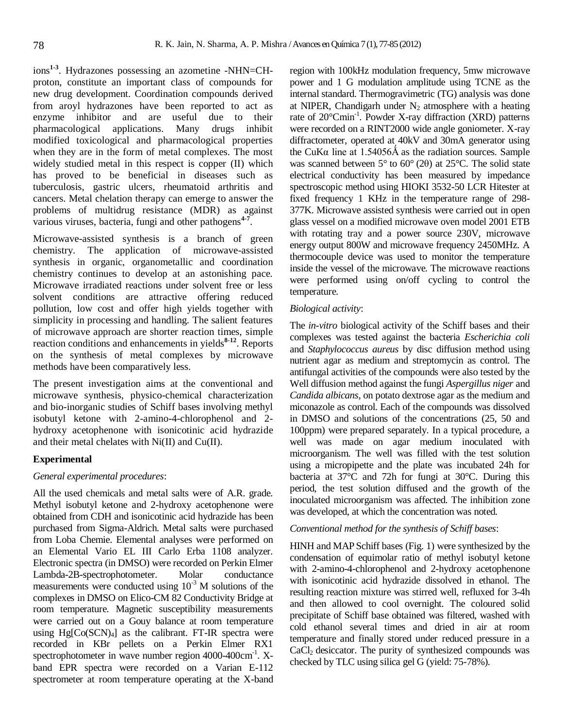ions**1-3** . Hydrazones possessing an azometine -NHN=CHproton, constitute an important class of compounds for new drug development. Coordination compounds derived from aroyl hydrazones have been reported to act as enzyme inhibitor and are useful due to their pharmacological applications. Many drugs inhibit modified toxicological and pharmacological properties when they are in the form of metal complexes. The most widely studied metal in this respect is copper (II) which has proved to be beneficial in diseases such as tuberculosis, gastric ulcers, rheumatoid arthritis and cancers. Metal chelation therapy can emerge to answer the problems of multidrug resistance (MDR) as against various viruses, bacteria, fungi and other pathogens**4-7** .

Microwave-assisted synthesis is a branch of green chemistry. The application of microwave-assisted synthesis in organic, organometallic and coordination chemistry continues to develop at an astonishing pace. Microwave irradiated reactions under solvent free or less solvent conditions are attractive offering reduced pollution, low cost and offer high yields together with simplicity in processing and handling. The salient features of microwave approach are shorter reaction times, simple reaction conditions and enhancements in yields<sup>8-12</sup>. Reports on the synthesis of metal complexes by microwave methods have been comparatively less.

The present investigation aims at the conventional and microwave synthesis, physico-chemical characterization and bio-inorganic studies of Schiff bases involving methyl isobutyl ketone with 2-amino-4-chlorophenol and 2 hydroxy acetophenone with isonicotinic acid hydrazide and their metal chelates with Ni(II) and Cu(II).

# **Experimental**

## *General experimental procedures*:

All the used chemicals and metal salts were of A.R. grade. Methyl isobutyl ketone and 2-hydroxy acetophenone were obtained from CDH and isonicotinic acid hydrazide has been purchased from Sigma-Aldrich. Metal salts were purchased from Loba Chemie. Elemental analyses were performed on an Elemental Vario EL III Carlo Erba 1108 analyzer. Electronic spectra (in DMSO) were recorded on Perkin Elmer Lambda-2B-spectrophotometer. Molar conductance measurements were conducted using  $10^{-3}$  M solutions of the complexes in DMSO on Elico-CM 82 Conductivity Bridge at room temperature. Magnetic susceptibility measurements were carried out on a Gouy balance at room temperature using  $Hg[Co(SCN)<sub>4</sub>]$  as the calibrant. FT-IR spectra were recorded in KBr pellets on a Perkin Elmer RX1 spectrophotometer in wave number region  $4000-400$ cm<sup>-1</sup>. Xband EPR spectra were recorded on a Varian E-112 spectrometer at room temperature operating at the X-band

region with 100kHz modulation frequency, 5mw microwave power and 1 G modulation amplitude using TCNE as the internal standard. Thermogravimetric (TG) analysis was done at NIPER, Chandigarh under  $N_2$  atmosphere with a heating rate of 20°Cmin<sup>-1</sup>. Powder X-ray diffraction (XRD) patterns were recorded on a RINT2000 wide angle goniometer. X-ray diffractometer, operated at 40kV and 30mA generator using the CuK $\alpha$  line at 1.54056Å as the radiation sources. Sample was scanned between 5° to 60° (2θ) at 25°C. The solid state electrical conductivity has been measured by impedance spectroscopic method using HIOKI 3532-50 LCR Hitester at fixed frequency 1 KHz in the temperature range of 298- 377K. Microwave assisted synthesis were carried out in open glass vessel on a modified microwave oven model 2001 ETB with rotating tray and a power source 230V, microwave energy output 800W and microwave frequency 2450MHz. A thermocouple device was used to monitor the temperature inside the vessel of the microwave. The microwave reactions were performed using on/off cycling to control the temperature.

## *Biological activity*:

The *in-vitro* biological activity of the Schiff bases and their complexes was tested against the bacteria *Escherichia coli* and *Staphylococcus aureus* by disc diffusion method using nutrient agar as medium and streptomycin as control. The antifungal activities of the compounds were also tested by the Well diffusion method against the fungi *Aspergillus niger* and *Candida albicans*, on potato dextrose agar as the medium and miconazole as control. Each of the compounds was dissolved in DMSO and solutions of the concentrations (25, 50 and 100ppm) were prepared separately. In a typical procedure, a well was made on agar medium inoculated with microorganism. The well was filled with the test solution using a micropipette and the plate was incubated 24h for bacteria at 37°C and 72h for fungi at 30°C. During this period, the test solution diffused and the growth of the inoculated microorganism was affected. The inhibition zone was developed, at which the concentration was noted.

## *Conventional method for the synthesis of Schiff bases*:

HINH and MAP Schiff bases (Fig. 1) were synthesized by the condensation of equimolar ratio of methyl isobutyl ketone with 2-amino-4-chlorophenol and 2-hydroxy acetophenone with isonicotinic acid hydrazide dissolved in ethanol. The resulting reaction mixture was stirred well, refluxed for 3-4h and then allowed to cool overnight. The coloured solid precipitate of Schiff base obtained was filtered, washed with cold ethanol several times and dried in air at room temperature and finally stored under reduced pressure in a CaCl<sub>2</sub> desiccator. The purity of synthesized compounds was checked by TLC using silica gel G (yield: 75-78%).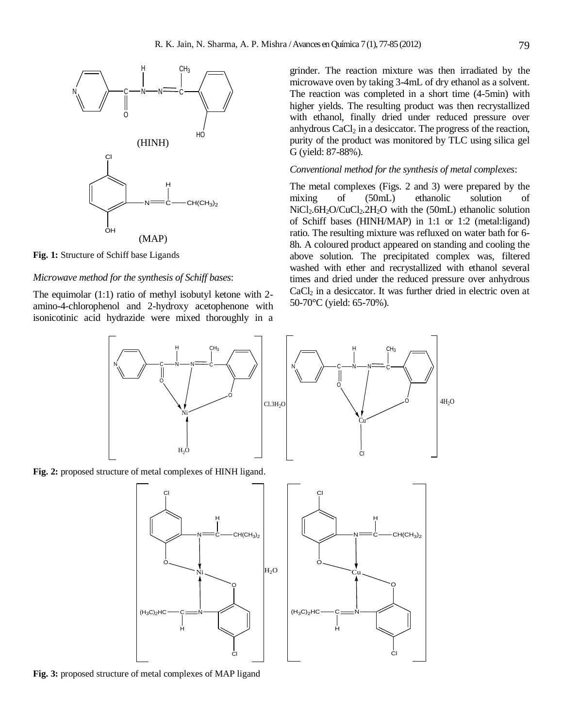

**Fig. 1:** Structure of Schiff base Ligands

# *Microwave method for the synthesis of Schiff bases*:

The equimolar (1:1) ratio of methyl isobutyl ketone with 2 amino-4-chlorophenol and 2-hydroxy acetophenone with isonicotinic acid hydrazide were mixed thoroughly in a grinder. The reaction mixture was then irradiated by the microwave oven by taking 3-4mL of dry ethanol as a solvent. The reaction was completed in a short time (4-5min) with higher yields. The resulting product was then recrystallized with ethanol, finally dried under reduced pressure over anhydrous  $CaCl<sub>2</sub>$  in a desiccator. The progress of the reaction, purity of the product was monitored by TLC using silica gel G (yield: 87-88%).

# *Conventional method for the synthesis of metal complexes*:

The metal complexes (Figs. 2 and 3) were prepared by the mixing of (50mL) ethanolic solution of  $NiCl<sub>2</sub>.6H<sub>2</sub>O/CuCl<sub>2</sub>.2H<sub>2</sub>O$  with the (50mL) ethanolic solution of Schiff bases (HINH/MAP) in 1:1 or 1:2 (metal:ligand) ratio. The resulting mixture was refluxed on water bath for 6- 8h. A coloured product appeared on standing and cooling the above solution. The precipitated complex was, filtered washed with ether and recrystallized with ethanol several times and dried under the reduced pressure over anhydrous CaCl<sub>2</sub> in a desiccator. It was further dried in electric oven at 50-70°C (yield: 65-70%).





**Fig. 3:** proposed structure of metal complexes of MAP ligand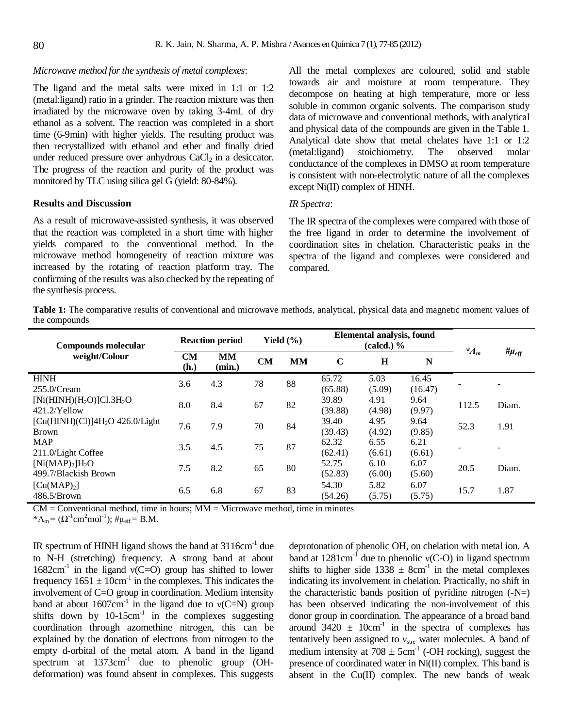#### *Microwave method for the synthesis of metal complexes*:

The ligand and the metal salts were mixed in 1:1 or 1:2 (metal:ligand) ratio in a grinder. The reaction mixture was then irradiated by the microwave oven by taking 3-4mL of dry ethanol as a solvent. The reaction was completed in a short time (6-9min) with higher yields. The resulting product was then recrystallized with ethanol and ether and finally dried under reduced pressure over anhydrous  $CaCl<sub>2</sub>$  in a desiccator. The progress of the reaction and purity of the product was monitored by TLC using silica gel G (yield: 80-84%).

#### **Results and Discussion**

As a result of microwave-assisted synthesis, it was observed that the reaction was completed in a short time with higher yields compared to the conventional method. In the microwave method homogeneity of reaction mixture was increased by the rotating of reaction platform tray. The confirming of the results was also checked by the repeating of the synthesis process.

All the metal complexes are coloured, solid and stable towards air and moisture at room temperature. They decompose on heating at high temperature, more or less soluble in common organic solvents. The comparison study data of microwave and conventional methods, with analytical and physical data of the compounds are given in the Table 1. Analytical date show that metal chelates have 1:1 or 1:2 (metal:ligand) stoichiometry. The observed molar conductance of the complexes in DMSO at room temperature is consistent with non-electrolytic nature of all the complexes except Ni(II) complex of HINH.

# *IR Spectra*:

The IR spectra of the complexes were compared with those of the free ligand in order to determine the involvement of coordination sites in chelation. Characteristic peaks in the spectra of the ligand and complexes were considered and compared.

**Table 1:** The comparative results of conventional and microwave methods, analytical, physical data and magnetic moment values of the compounds

| <b>Compounds molecular</b>                                      | <b>Reaction period</b> |                     | Yield $(\% )$ |           | <b>Elemental analysis, found</b><br>$\left(\text{calcd.}\right)\%$ |                |                  |                           |                        |
|-----------------------------------------------------------------|------------------------|---------------------|---------------|-----------|--------------------------------------------------------------------|----------------|------------------|---------------------------|------------------------|
| weight/Colour                                                   | CМ<br>(h.)             | <b>MM</b><br>(min.) | CM            | <b>MM</b> | $\mathbf C$                                                        | $\mathbf H$    | N                | $^{\star}$ A <sub>m</sub> | # $\mu_{\textit{eff}}$ |
| <b>HINH</b><br>$255.0/C$ ream                                   | 3.6                    | 4.3                 | 78            | 88        | 65.72<br>(65.88)                                                   | 5.03<br>(5.09) | 16.45<br>(16.47) |                           |                        |
| [Ni(HINH)( $H_2O$ )]Cl.3 $H_2O$<br>421.2/Yellow                 | 8.0                    | 8.4                 | 67            | 82        | 39.89<br>(39.88)                                                   | 4.91<br>(4.98) | 9.64<br>(9.97)   | 112.5                     | Diam.                  |
| $[Cu(HINH)(Cl)]4H2O 426.0/Light$<br><b>Brown</b>                | 7.6                    | 7.9                 | 70            | 84        | 39.40<br>(39.43)                                                   | 4.95<br>(4.92) | 9.64<br>(9.85)   | 52.3                      | 1.91                   |
| <b>MAP</b><br>211.0/Light Coffee                                | 3.5                    | 4.5                 | 75            | 87        | 62.32<br>(62.41)                                                   | 6.55<br>(6.61) | 6.21<br>(6.61)   |                           |                        |
| [Ni(MAP) <sub>2</sub> ]H <sub>2</sub> O<br>499.7/Blackish Brown | 7.5                    | 8.2                 | 65            | 80        | 52.75<br>(52.83)                                                   | 6.10<br>(6.00) | 6.07<br>(5.60)   | 20.5                      | Diam.                  |
| [Cu(MAP) <sub>2</sub> ]<br>486.5/Brown                          | 6.5                    | 6.8                 | 67            | 83        | 54.30<br>(54.26)                                                   | 5.82<br>(5.75) | 6.07<br>(5.75)   | 15.7                      | 1.87                   |

 $CM =$  Conventional method, time in hours;  $MM =$  Microwave method, time in minutes

\* $\Lambda_{\rm m} = (\Omega^{-1}$ cm<sup>2</sup>mol<sup>-1</sup>); # $\mu_{\rm eff} = B.M$ .

IR spectrum of HINH ligand shows the band at 3116cm<sup>-1</sup> due to N-H (stretching) frequency. A strong band at about 1682cm<sup>-1</sup> in the ligand  $v(C=O)$  group has shifted to lower frequency  $1651 \pm 10 \text{cm}^{-1}$  in the complexes. This indicates the involvement of C=O group in coordination. Medium intensity band at about  $1607 \text{cm}^{-1}$  in the ligand due to  $v(C=N)$  group shifts down by  $10-15$ cm<sup>-1</sup> in the complexes suggesting coordination through azomethine nitrogen, this can be explained by the donation of electrons from nitrogen to the empty d-orbital of the metal atom. A band in the ligand spectrum at 1373cm<sup>-1</sup> due to phenolic group (OHdeformation) was found absent in complexes. This suggests

deprotonation of phenolic OH, on chelation with metal ion. A band at  $1281 \text{cm}^{-1}$  due to phenolic v(C-O) in ligand spectrum shifts to higher side  $1338 \pm 8 \text{cm}^{-1}$  in the metal complexes indicating its involvement in chelation. Practically, no shift in the characteristic bands position of pyridine nitrogen  $(-N=)$ has been observed indicating the non-involvement of this donor group in coordination. The appearance of a broad band around  $3420 \pm 10 \text{cm}^{-1}$  in the spectra of complexes has tentatively been assigned to  $v_{\text{stre}}$  water molecules. A band of medium intensity at  $708 \pm 5 \text{cm}^{-1}$  (-OH rocking), suggest the presence of coordinated water in Ni(II) complex. This band is absent in the Cu(II) complex. The new bands of weak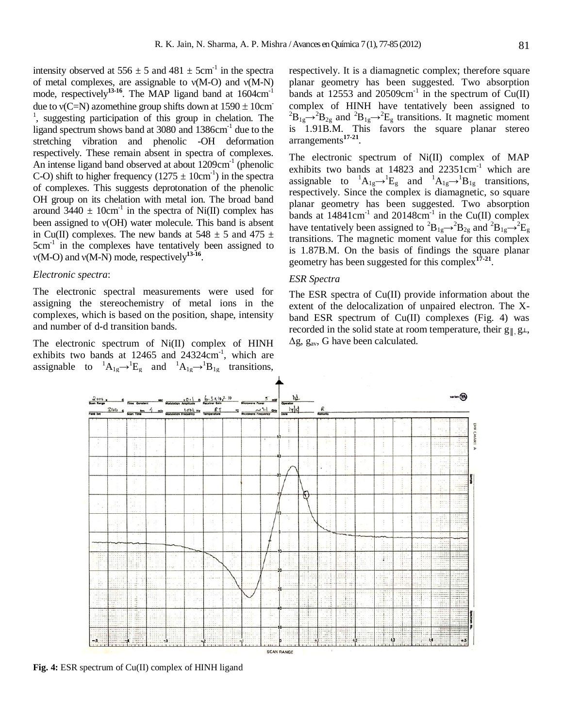intensity observed at  $556 \pm 5$  and  $481 \pm 5$ cm<sup>-1</sup> in the spectra of metal complexes, are assignable to  $v(M-O)$  and  $v(M-N)$ mode, respectively<sup>13-16</sup>. The MAP ligand band at 1604cm<sup>-1</sup> due to  $v(C=N)$  azomethine group shifts down at  $1590 \pm 10$ cm <sup>1</sup>, suggesting participation of this group in chelation. The ligand spectrum shows band at 3080 and 1386cm<sup>-1</sup> due to the stretching vibration and phenolic -OH deformation respectively. These remain absent in spectra of complexes. An intense ligand band observed at about 1209cm<sup>-1</sup> (phenolic C-O) shift to higher frequency  $(1275 \pm 10 \text{cm}^{-1})$  in the spectra of complexes. This suggests deprotonation of the phenolic OH group on its chelation with metal ion. The broad band around  $3440 \pm 10$ cm<sup>-1</sup> in the spectra of Ni(II) complex has been assigned to ν(OH) water molecule. This band is absent in Cu(II) complexes. The new bands at  $548 \pm 5$  and  $475 \pm 1$ 5cm<sup>-1</sup> in the complexes have tentatively been assigned to  $v(M-O)$  and  $v(M-N)$  mode, respectively<sup>13-16</sup>.

#### *Electronic spectra*:

The electronic spectral measurements were used for assigning the stereochemistry of metal ions in the complexes, which is based on the position, shape, intensity and number of d-d transition bands.

The electronic spectrum of Ni(II) complex of HINH exhibits two bands at  $12465$  and  $24324 \text{cm}^{-1}$ , which are assignable to  ${}^{1}A_{1g} \rightarrow {}^{1}E_{g}$  and  ${}^{1}A_{1g} \rightarrow {}^{1}B_{1g}$  transitions,

respectively. It is a diamagnetic complex; therefore square planar geometry has been suggested. Two absorption bands at 12553 and 20509 $cm^{-1}$  in the spectrum of Cu(II) complex of HINH have tentatively been assigned to  ${}^{2}B_{1g} \rightarrow {}^{2}B_{2g}$  and  ${}^{2}B_{1g} \rightarrow {}^{2}E_{g}$  transitions. It magnetic moment is 1.91B.M. This favors the square planar stereo arrangements**17-21** .

The electronic spectrum of Ni(II) complex of MAP exhibits two bands at  $14823$  and  $22351 \text{cm}^{-1}$  which are assignable to  ${}^{1}A_{1g} \rightarrow {}^{1}E_{g}$  and  ${}^{1}A_{1g} \rightarrow {}^{1}B_{1g}$  transitions, respectively. Since the complex is diamagnetic, so square planar geometry has been suggested. Two absorption bands at  $14841 \text{cm}^{-1}$  and  $20148 \text{cm}^{-1}$  in the Cu(II) complex have tentatively been assigned to  ${}^{2}B_{1g} \rightarrow {}^{2}B_{2g}$  and  ${}^{2}B_{1g} \rightarrow {}^{2}E_{g}$ transitions. The magnetic moment value for this complex is 1.87B.M. On the basis of findings the square planar geometry has been suggested for this complex**17-21** .

#### *ESR Spectra*

The ESR spectra of Cu(II) provide information about the extent of the delocalization of unpaired electron. The Xband ESR spectrum of  $Cu(II)$  complexes (Fig. 4) was recorded in the solid state at room temperature, their g $\parallel$ , g⊥,  $\Delta$ g, g<sub>av</sub>, G have been calculated.



**Fig. 4:** ESR spectrum of Cu(II) complex of HINH ligand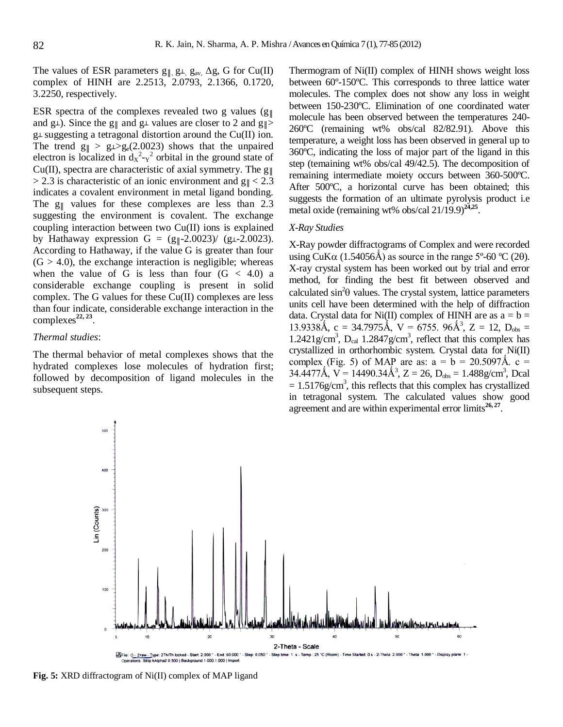The values of ESR parameters  $g_{\parallel}$ ,  $g_{\perp}$ ,  $g_{av}$ ,  $\Delta g$ , G for Cu(II) complex of HINH are 2.2513, 2.0793, 2.1366, 0.1720, 3.2250, respectively.

ESR spectra of the complexes revealed two g values ( $g_{\parallel}$ ) and g⊥). Since the g<sub>∥</sub> and g⊥ values are closer to 2 and g<sub>|</sub> $>$  $g\perp$  suggesting a tetragonal distortion around the Cu(II) ion. The trend  $g_{\parallel} > g_{\perp} > g_{e}(2.0023)$  shows that the unpaired electron is localized in  $dx^2-y^2$  orbital in the ground state of Cu(II), spectra are characteristic of axial symmetry. The  $g_{\parallel}$  $> 2.3$  is characteristic of an ionic environment and  $g_{\parallel} < 2.3$ indicates a covalent environment in metal ligand bonding. The  $g_{\parallel}$  values for these complexes are less than 2.3 suggesting the environment is covalent. The exchange coupling interaction between two Cu(II) ions is explained by Hathaway expression  $G = (g_{\parallel} - 2.0023) / (g_{\perp} - 2.0023)$ . According to Hathaway, if the value G is greater than four  $(G > 4.0)$ , the exchange interaction is negligible; whereas when the value of G is less than four  $(G < 4.0)$  a considerable exchange coupling is present in solid complex. The G values for these  $Cu(II)$  complexes are less than four indicate, considerable exchange interaction in the complexes**22, 23** .

#### *Thermal studies*:

The thermal behavior of metal complexes shows that the hydrated complexes lose molecules of hydration first; followed by decomposition of ligand molecules in the subsequent steps.

Thermogram of Ni(II) complex of HINH shows weight loss between 60º-150ºC. This corresponds to three lattice water molecules. The complex does not show any loss in weight between 150-230ºC. Elimination of one coordinated water molecule has been observed between the temperatures 240- 260ºC (remaining wt% obs/cal 82/82.91). Above this temperature, a weight loss has been observed in general up to 360ºC, indicating the loss of major part of the ligand in this step (temaining wt% obs/cal 49/42.5). The decomposition of remaining intermediate moiety occurs between 360-500ºC. After 500ºC, a horizontal curve has been obtained; this suggests the formation of an ultimate pyrolysis product i.e metal oxide (remaining wt% obs/cal 21/19.9)<sup>24,25</sup>.

#### *X-Ray Studies*

X-Ray powder diffractograms of Complex and were recorded using CuK $\alpha$  (1.54056Å) as source in the range 5°-60 °C (20). X-ray crystal system has been worked out by trial and error method, for finding the best fit between observed and calculated  $\sin^2\theta$  values. The crystal system, lattice parameters units cell have been determined with the help of diffraction data. Crystal data for Ni(II) complex of HINH are as  $a = b =$ 13.9338Å, c = 34.7975Å, V = 6755. 96Å<sup>3</sup>, Z = 12, D<sub>obs</sub> = 1.2421g/cm<sup>3</sup>,  $D_{cal}$  1.2847g/cm<sup>3</sup>, reflect that this complex has crystallized in orthorhombic system. Crystal data for Ni(II) complex (Fig. 5) of MAP are as:  $a = b = 20.5097$ Å. c = 34.4477Å,  $V = 14490.34\text{\AA}^3$ ,  $Z = 26$ ,  $D_{obs} = 1.488g/cm^3$ , Dcal  $= 1.5176$ g/cm<sup>3</sup>, this reflects that this complex has crystallized in tetragonal system. The calculated values show good agreement and are within experimental error limits<sup>26,27</sup>.



**Fig. 5:** XRD diffractogram of Ni(II) complex of MAP ligand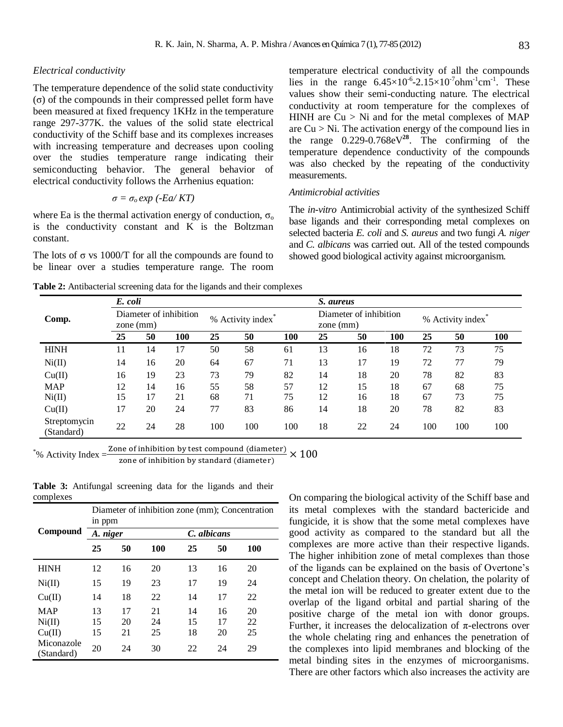#### *Electrical conductivity*

The temperature dependence of the solid state conductivity (σ) of the compounds in their compressed pellet form have been measured at fixed frequency 1KHz in the temperature range 297-377K. the values of the solid state electrical conductivity of the Schiff base and its complexes increases with increasing temperature and decreases upon cooling over the studies temperature range indicating their semiconducting behavior. The general behavior of electrical conductivity follows the Arrhenius equation:

$$
\sigma = \sigma_o \exp(-Ea/KT)
$$

where Ea is the thermal activation energy of conduction,  $\sigma_0$ is the conductivity constant and K is the Boltzman constant.

The lots of  $\sigma$  vs 1000/T for all the compounds are found to be linear over a studies temperature range. The room

temperature electrical conductivity of all the compounds lies in the range  $6.45 \times 10^{-6}$ -2.15 $\times 10^{-7}$ ohm<sup>-1</sup>cm<sup>-1</sup>. These values show their semi-conducting nature. The electrical conductivity at room temperature for the complexes of HINH are  $Cu > Ni$  and for the metal complexes of MAP are  $Cu > Ni$ . The activation energy of the compound lies in the range 0.229-0.768eV**<sup>28</sup>**. The confirming of the temperature dependence conductivity of the compounds was also checked by the repeating of the conductivity measurements.

## *Antimicrobial activities*

The *in-vitro* Antimicrobial activity of the synthesized Schiff base ligands and their corresponding metal complexes on selected bacteria *E. coli* and *S. aureus* and two fungi *A. niger* and *C. albicans* was carried out. All of the tested compounds showed good biological activity against microorganism.

**Table 2:** Antibacterial screening data for the ligands and their complexes

|                            | E. coli                               |    |     |                  |     |     | S. aureus |                                       |     |     |                  |     |  |
|----------------------------|---------------------------------------|----|-----|------------------|-----|-----|-----------|---------------------------------------|-----|-----|------------------|-----|--|
| Comp.                      | Diameter of inhibition<br>zone $(mm)$ |    |     | % Activity index |     |     |           | Diameter of inhibition<br>zone $(mm)$ |     |     | % Activity index |     |  |
|                            | 25                                    | 50 | 100 | 25               | 50  | 100 | 25        | 50                                    | 100 | 25  | 50               | 100 |  |
| <b>HINH</b>                | 11                                    | 14 | 17  | 50               | 58  | 61  | 13        | 16                                    | 18  | 72  | 73               | 75  |  |
| Ni(II)                     | 14                                    | 16 | 20  | 64               | 67  | 71  | 13        | 17                                    | 19  | 72  | 77               | 79  |  |
| Cu(II)                     | 16                                    | 19 | 23  | 73               | 79  | 82  | 14        | 18                                    | 20  | 78  | 82               | 83  |  |
| <b>MAP</b>                 | 12                                    | 14 | 16  | 55               | 58  | 57  | 12        | 15                                    | 18  | 67  | 68               | 75  |  |
| Ni(II)                     | 15                                    | 17 | 21  | 68               | 71  | 75  | 12        | 16                                    | 18  | 67  | 73               | 75  |  |
| Cu(II)                     | 17                                    | 20 | 24  | 77               | 83  | 86  | 14        | 18                                    | 20  | 78  | 82               | 83  |  |
| Streptomycin<br>(Standard) | 22                                    | 24 | 28  | 100              | 100 | 100 | 18        | 22                                    | 24  | 100 | 100              | 100 |  |

\*% Activity Index  $=\frac{Zone\ of\ inhibition\ by\ test\ compound\ (diameter)}{X} \times$ 

zone of inhibition by standard (diameter)

**Table 3:** Antifungal screening data for the ligands and their complexes

| Diameter of inhibition zone (mm); Concentration<br>in ppm |    |          |    |             |     |  |  |  |  |
|-----------------------------------------------------------|----|----------|----|-------------|-----|--|--|--|--|
|                                                           |    |          |    | C. albicans |     |  |  |  |  |
| 25                                                        | 50 | 100      | 25 | 50          | 100 |  |  |  |  |
| 12                                                        | 16 | 20       | 13 | 16          | 20  |  |  |  |  |
| 15                                                        | 19 | 23       | 17 | 19          | 24  |  |  |  |  |
| 14                                                        | 18 | 22       | 14 | 17          | 22  |  |  |  |  |
| 13                                                        | 17 | 21       | 14 | 16          | 20  |  |  |  |  |
| 15                                                        | 20 | 24       | 15 | 17          | 22  |  |  |  |  |
| 15                                                        | 21 | 25       | 18 | 20          | 25  |  |  |  |  |
| 20                                                        | 24 | 30       | 22 | 24          | 29  |  |  |  |  |
|                                                           |    | A. niger |    |             |     |  |  |  |  |

On comparing the biological activity of the Schiff base and its metal complexes with the standard bactericide and fungicide, it is show that the some metal complexes have good activity as compared to the standard but all the complexes are more active than their respective ligands. The higher inhibition zone of metal complexes than those of the ligands can be explained on the basis of Overtone's concept and Chelation theory. On chelation, the polarity of the metal ion will be reduced to greater extent due to the overlap of the ligand orbital and partial sharing of the positive charge of the metal ion with donor groups. Further, it increases the delocalization of  $\pi$ -electrons over the whole chelating ring and enhances the penetration of the complexes into lipid membranes and blocking of the metal binding sites in the enzymes of microorganisms. There are other factors which also increases the activity are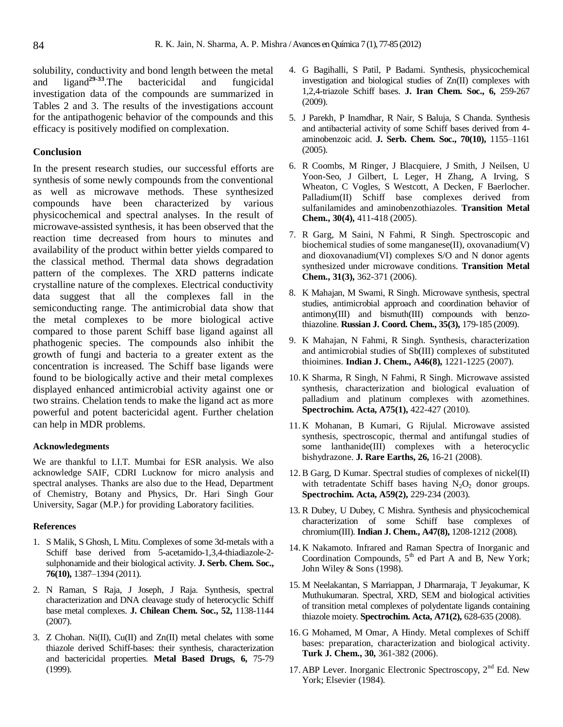solubility, conductivity and bond length between the metal and ligand**29-33**.The bactericidal and fungicidal investigation data of the compounds are summarized in Tables 2 and 3. The results of the investigations account for the antipathogenic behavior of the compounds and this efficacy is positively modified on complexation.

#### **Conclusion**

In the present research studies, our successful efforts are synthesis of some newly compounds from the conventional as well as microwave methods. These synthesized compounds have been characterized by various physicochemical and spectral analyses. In the result of microwave-assisted synthesis, it has been observed that the reaction time decreased from hours to minutes and availability of the product within better yields compared to the classical method. Thermal data shows degradation pattern of the complexes. The XRD patterns indicate crystalline nature of the complexes. Electrical conductivity data suggest that all the complexes fall in the semiconducting range. The antimicrobial data show that the metal complexes to be more biological active compared to those parent Schiff base ligand against all phathogenic species. The compounds also inhibit the growth of fungi and bacteria to a greater extent as the concentration is increased. The Schiff base ligands were found to be biologically active and their metal complexes displayed enhanced antimicrobial activity against one or two strains. Chelation tends to make the ligand act as more powerful and potent bactericidal agent. Further chelation can help in MDR problems.

#### **Acknowledegments**

We are thankful to I.I.T. Mumbai for ESR analysis. We also acknowledge SAIF, CDRI Lucknow for micro analysis and spectral analyses. Thanks are also due to the Head, Department of Chemistry, Botany and Physics, Dr. Hari Singh Gour University, Sagar (M.P.) for providing Laboratory facilities.

#### **References**

- 1. S Malik, S Ghosh, L Mitu. Complexes of some 3d-metals with a Schiff base derived from 5-acetamido-1,3,4-thiadiazole-2 sulphonamide and their biological activity. **J. Serb. Chem. Soc., 76(10),** 1387–1394 (2011).
- 2. N Raman, S Raja, J Joseph, J Raja. Synthesis, spectral characterization and DNA cleavage study of heterocyclic Schiff base metal complexes. **J. Chilean Chem. Soc., 52,** 1138-1144 (2007).
- 3. Z Chohan. Ni(II), Cu(II) and Zn(II) metal chelates with some thiazole derived Schiff-bases: their synthesis, characterization and bactericidal properties. **Metal Based Drugs, 6,** 75-79 (1999).
- 4. G Bagihalli, S Patil, P Badami. Synthesis, physicochemical investigation and biological studies of Zn(II) complexes with 1,2,4-triazole Schiff bases. **J. Iran Chem. Soc., 6,** 259-267 (2009).
- 5. J Parekh, P Inamdhar, R Nair, S Baluja, S Chanda. Synthesis and antibacterial activity of some Schiff bases derived from 4 aminobenzoic acid. **J. Serb. Chem. Soc., 70(10),** 1155–1161 (2005).
- 6. R Coombs, M Ringer, J Blacquiere, J Smith, J Neilsen, U Yoon-Seo, J Gilbert, L Leger, H Zhang, A Irving*,* S Wheaton, C Vogles, S Westcott, A Decken, F Baerlocher. Palladium(II) Schiff base complexes derived from sulfanilamides and aminobenzothiazoles. **Transition Metal Chem., 30(4),** 411-418 (2005).
- 7. R Garg, M Saini, N Fahmi, R Singh. Spectroscopic and biochemical studies of some manganese(II), oxovanadium(V) and dioxovanadium(VI) complexes S/O and N donor agents synthesized under microwave conditions. **Transition Metal Chem., 31(3),** 362-371 (2006).
- 8. K Mahajan, M Swami, R Singh. Microwave synthesis, spectral studies, antimicrobial approach and coordination behavior of antimony(III) and bismuth(III) compounds with benzothiazoline. **Russian J. Coord. Chem., 35(3),** 179-185 (2009).
- 9. K Mahajan, N Fahmi, R Singh. Synthesis, characterization and antimicrobial studies of Sb(III) complexes of substituted thioimines. **Indian J. Chem., A46(8),** 1221-1225 (2007).
- 10. K Sharma, R Singh, N Fahmi, R Singh. Microwave assisted synthesis, characterization and biological evaluation of palladium and platinum complexes with azomethines. **Spectrochim. Acta, A75(1),** 422-427 (2010).
- 11. K Mohanan, B Kumari, G Rijulal. Microwave assisted synthesis, spectroscopic, thermal and antifungal studies of some lanthanide(III) complexes with a heterocyclic bishydrazone. **J. Rare Earths, 26,** 16-21 (2008).
- 12.B Garg, D Kumar. Spectral studies of complexes of nickel(II) with tetradentate Schiff bases having  $N_2O_2$  donor groups. **Spectrochim. Acta, A59(2),** 229-234 (2003).
- 13. R Dubey, U Dubey, C Mishra. Synthesis and physicochemical characterization of some Schiff base complexes of chromium(III). **Indian J. Chem., A47(8),** 1208-1212 (2008).
- 14. K Nakamoto. Infrared and Raman Spectra of Inorganic and Coordination Compounds,  $5<sup>th</sup>$  ed Part A and B, New York; John Wiley & Sons (1998).
- 15. M Neelakantan, S Marriappan, J Dharmaraja, T Jeyakumar, K Muthukumaran. Spectral, XRD, SEM and biological activities of transition metal complexes of polydentate ligands containing thiazole moiety. **Spectrochim. Acta, A71(2),** 628-635 (2008).
- 16. G Mohamed, M Omar, A Hindy. Metal complexes of Schiff bases: preparation, characterization and biological activity. **Turk J. Chem., 30,** 361-382 (2006).
- 17. ABP Lever. Inorganic Electronic Spectroscopy,  $2<sup>nd</sup>$  Ed. New York; Elsevier (1984).